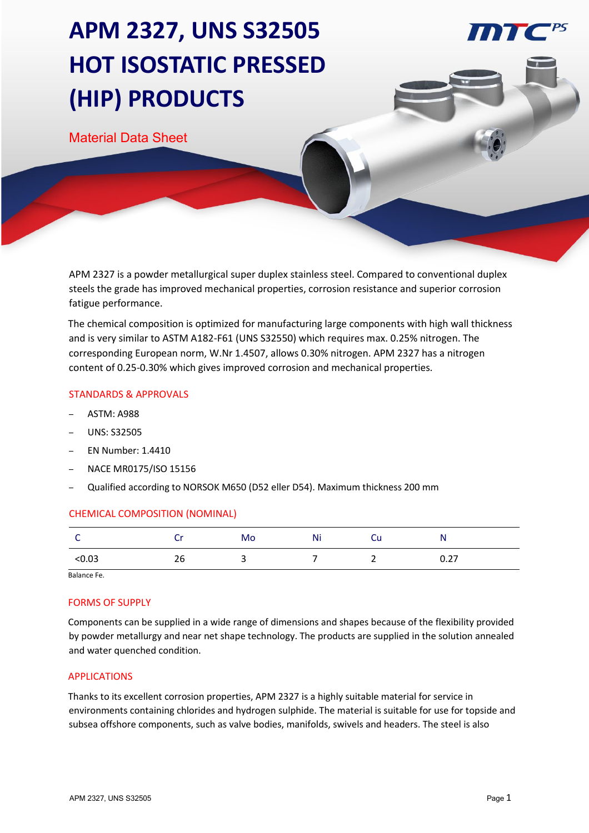# **APM 2327, UNS S32505 HOT ISOSTATIC PRESSED (HIP) PRODUCTS**

Material Data Sheet

APM 2327 is a powder metallurgical super duplex stainless steel. Compared to conventional duplex steels the grade has improved mechanical properties, corrosion resistance and superior corrosion fatigue performance.

The chemical composition is optimized for manufacturing large components with high wall thickness and is very similar to ASTM A182-F61 (UNS S32550) which requires max. 0.25% nitrogen. The corresponding European norm, W.Nr 1.4507, allows 0.30% nitrogen. APM 2327 has a nitrogen content of 0.25-0.30% which gives improved corrosion and mechanical properties.

#### STANDARDS & APPROVALS

- ASTM: A988
- UNS: S32505
- EN Number: 1.4410
- NACE MR0175/ISO 15156
- Qualified according to NORSOK M650 (D52 eller D54). Maximum thickness 200 mm

|       |    | Mo | Ni | ັບ | N<br>                         |
|-------|----|----|----|----|-------------------------------|
| 50.03 | 26 |    | -  |    | つつ<br>$\mathsf{v}.\mathsf{v}$ |

#### CHEMICAL COMPOSITION (NOMINAL)

Balance Fe.

#### FORMS OF SUPPLY

Components can be supplied in a wide range of dimensions and shapes because of the flexibility provided by powder metallurgy and near net shape technology. The products are supplied in the solution annealed and water quenched condition.

#### APPLICATIONS

Thanks to its excellent corrosion properties, APM 2327 is a highly suitable material for service in environments containing chlorides and hydrogen sulphide. The material is suitable for use for topside and subsea offshore components, such as valve bodies, manifolds, swivels and headers. The steel is also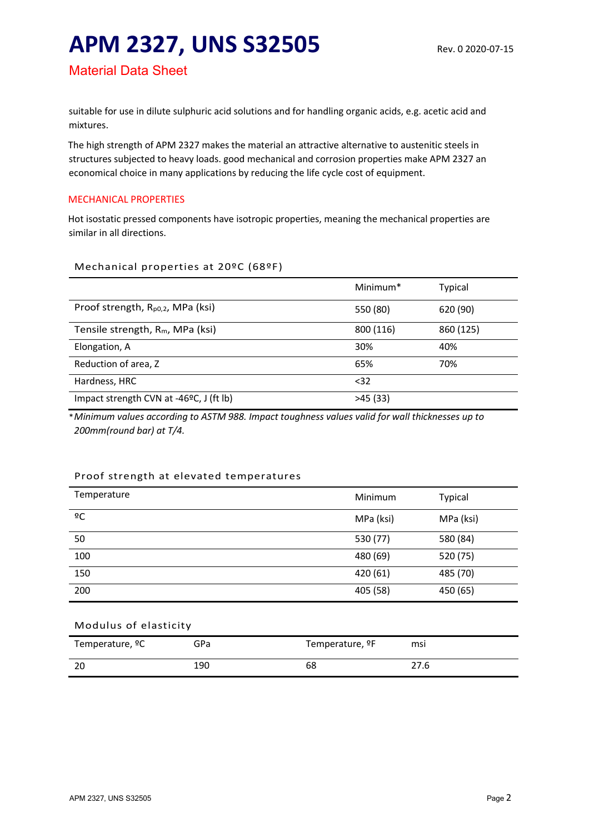## **APM 2327, UNS S32505** Rev. 0 2020-07-15

### Material Data Sheet

suitable for use in dilute sulphuric acid solutions and for handling organic acids, e.g. acetic acid and mixtures.

The high strength of APM 2327 makes the material an attractive alternative to austenitic steels in structures subjected to heavy loads. good mechanical and corrosion properties make APM 2327 an economical choice in many applications by reducing the life cycle cost of equipment.

#### MECHANICAL PROPERTIES

Hot isostatic pressed components have isotropic properties, meaning the mechanical properties are similar in all directions.

#### Mechanical properties at 20ºC (68ºF)

|                                               | Minimum <sup>*</sup> | Typical   |
|-----------------------------------------------|----------------------|-----------|
| Proof strength, R <sub>p0,2</sub> , MPa (ksi) | 550 (80)             | 620 (90)  |
| Tensile strength, $R_m$ , MPa (ksi)           | 800 (116)            | 860 (125) |
| Elongation, A                                 | 30%                  | 40%       |
| Reduction of area, Z                          | 65%                  | 70%       |
| Hardness, HRC                                 | $32$                 |           |
| Impact strength CVN at -46°C, J (ft lb)       | >45(33)              |           |

\**Minimum values according to ASTM 988. Impact toughness values valid for wall thicknesses up to 200mm(round bar) at T/4.*

#### Proof strength at elevated temperatures

| Temperature | Minimum   | <b>Typical</b> |
|-------------|-----------|----------------|
| ºC          | MPa (ksi) | MPa (ksi)      |
| 50          | 530 (77)  | 580 (84)       |
| 100         | 480 (69)  | 520 (75)       |
| 150         | 420 (61)  | 485 (70)       |
| 200         | 405 (58)  | 450 (65)       |

#### Modulus of elasticity

| Temperature, <sup>o</sup> C | GPa | Temperature, <sup>o</sup> F | msi  |
|-----------------------------|-----|-----------------------------|------|
| nr<br>∠∪                    | 190 | 68                          | 27.6 |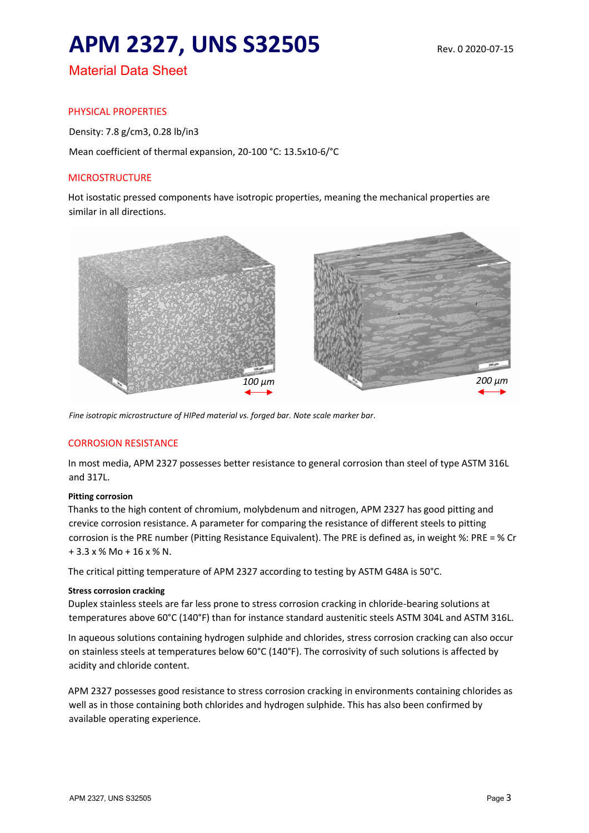## **APM 2327, UNS S32505** Rev. 0 2020-07-15

### Material Data Sheet

#### PHYSICAL PROPERTIES

Density: 7.8 g/cm3, 0.28 lb/in3

Mean coefficient of thermal expansion, 20-100 °C: 13.5x10-6/°C

#### **MICROSTRUCTURE**

Hot isostatic pressed components have isotropic properties, meaning the mechanical properties are similar in all directions.



*Fine isotropic microstructure of HIPed material vs. forged bar. Note scale marker bar*.

#### CORROSION RESISTANCE

In most media, APM 2327 possesses better resistance to general corrosion than steel of type ASTM 316L and 317L.

#### **Pitting corrosion**

Thanks to the high content of chromium, molybdenum and nitrogen, APM 2327 has good pitting and crevice corrosion resistance. A parameter for comparing the resistance of different steels to pitting corrosion is the PRE number (Pitting Resistance Equivalent). The PRE is defined as, in weight %: PRE = % Cr + 3.3 x % Mo + 16 x % N.

The critical pitting temperature of APM 2327 according to testing by ASTM G48A is 50°C.

#### **Stress corrosion cracking**

Duplex stainless steels are far less prone to stress corrosion cracking in chloride-bearing solutions at temperatures above 60°C (140°F) than for instance standard austenitic steels ASTM 304L and ASTM 316L.

In aqueous solutions containing hydrogen sulphide and chlorides, stress corrosion cracking can also occur on stainless steels at temperatures below 60°C (140°F). The corrosivity of such solutions is affected by acidity and chloride content.

APM 2327 possesses good resistance to stress corrosion cracking in environments containing chlorides as well as in those containing both chlorides and hydrogen sulphide. This has also been confirmed by available operating experience.